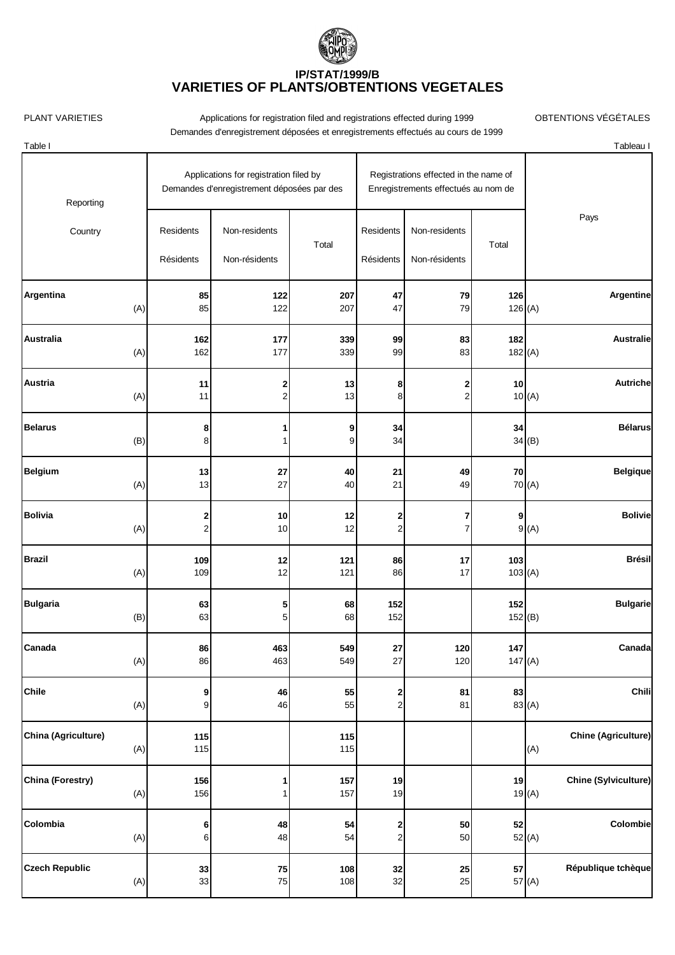

PLANT VARIETIES **Applications for registration filed and registrations effected during 1999** OBTENTIONS VÉGÉTALES Demandes d'enregistrement déposées et enregistrements effectués au cours de 1999

Table I Tableau I

| Reporting                      |                        | Applications for registration filed by<br>Demandes d'enregistrement déposées par des | Registrations effected in the name of<br>Enregistrements effectués au nom de |                         |                                |               |                                      |
|--------------------------------|------------------------|--------------------------------------------------------------------------------------|------------------------------------------------------------------------------|-------------------------|--------------------------------|---------------|--------------------------------------|
| Country                        | Residents<br>Résidents | Non-residents<br>Non-résidents                                                       | Total                                                                        | Residents<br>Résidents  | Non-residents<br>Non-résidents | Total         | Pays                                 |
| Argentina                      | 85                     | 122                                                                                  | 207                                                                          | 47                      | 79                             | 126           | Argentine                            |
| (A)                            | 85                     | 122                                                                                  | 207                                                                          | 47                      | 79                             | 126(A)        |                                      |
| <b>Australia</b>               | 162                    | 177                                                                                  | 339                                                                          | 99                      | 83                             | 182           | <b>Australie</b>                     |
| (A)                            | 162                    | 177                                                                                  | 339                                                                          | 99                      | 83                             | 182(A)        |                                      |
| Austria                        | 11                     | 2                                                                                    | 13                                                                           | 8                       | 2                              | 10            | Autriche                             |
| (A)                            | 11                     | 2                                                                                    | 13                                                                           | 8                       | $\overline{\mathbf{c}}$        |               | 10(A)                                |
| <b>Belarus</b><br>(B)          | 8<br>8                 |                                                                                      | 9<br>9                                                                       | 34<br>34                |                                | 34            | <b>Bélarus</b><br>34(B)              |
| <b>Belgium</b>                 | 13                     | 27                                                                                   | 40                                                                           | 21                      | 49                             | 70            | <b>Belgique</b>                      |
| (A)                            | 13                     | 27                                                                                   | 40                                                                           | 21                      | 49                             |               | 70 (A)                               |
| <b>Bolivia</b>                 | $\mathbf{z}$           | 10                                                                                   | 12                                                                           | 2                       | 7                              | 9             | <b>Bolivie</b>                       |
| (A)                            | $\mathbf{2}$           | 10                                                                                   | 12                                                                           | $\overline{\mathbf{c}}$ | 7                              |               | 9(A)                                 |
| <b>Brazil</b>                  | 109                    | $12$                                                                                 | 121                                                                          | 86                      | 17                             | 103           | <b>Brésil</b>                        |
| (A)                            | 109                    | 12                                                                                   | 121                                                                          | 86                      | 17                             | 103(A)        |                                      |
| <b>Bulgaria</b><br>(B)         | 63<br>63               | 5<br>5                                                                               | 68<br>68                                                                     | 152<br>152              |                                | 152<br>152(B) | <b>Bulgarie</b>                      |
| Canada                         | 86                     | 463                                                                                  | 549                                                                          | 27                      | 120                            | 147           | Canada                               |
| (A)                            | 86                     | 463                                                                                  | 549                                                                          | 27                      | 120                            | 147(A)        |                                      |
| <b>Chile</b>                   | 9                      | 46                                                                                   | 55                                                                           | $\mathbf{2}$            | 81                             | 83            | Chili                                |
| (A)                            | $\overline{9}$         | 46                                                                                   | 55                                                                           | $\mathbf{2}$            | 81                             |               | 83 (A)                               |
| China (Agriculture)<br>(A)     | 115<br>115             |                                                                                      | 115<br>115                                                                   |                         |                                |               | <b>Chine (Agriculture)</b><br>(A)    |
| <b>China (Forestry)</b><br>(A) | 156<br>156             |                                                                                      | 157<br>157                                                                   | 19<br>19                |                                | 19            | <b>Chine (Sylviculture)</b><br>19(A) |
| Colombia                       | $6\vert$               | 48                                                                                   | 54                                                                           | $\mathbf{z}$            | 50                             | 52            | Colombie                             |
| (A)                            | $\mathbf 6$            | 48                                                                                   | 54                                                                           | $\mathbf{2}$            | 50                             |               | 52(A)                                |
| <b>Czech Republic</b>          | 33                     | 75                                                                                   | 108                                                                          | 32                      | 25                             | 57            | République tchèque                   |
| (A)                            | 33                     | 75                                                                                   | 108                                                                          | 32                      | 25                             |               | 57 (A)                               |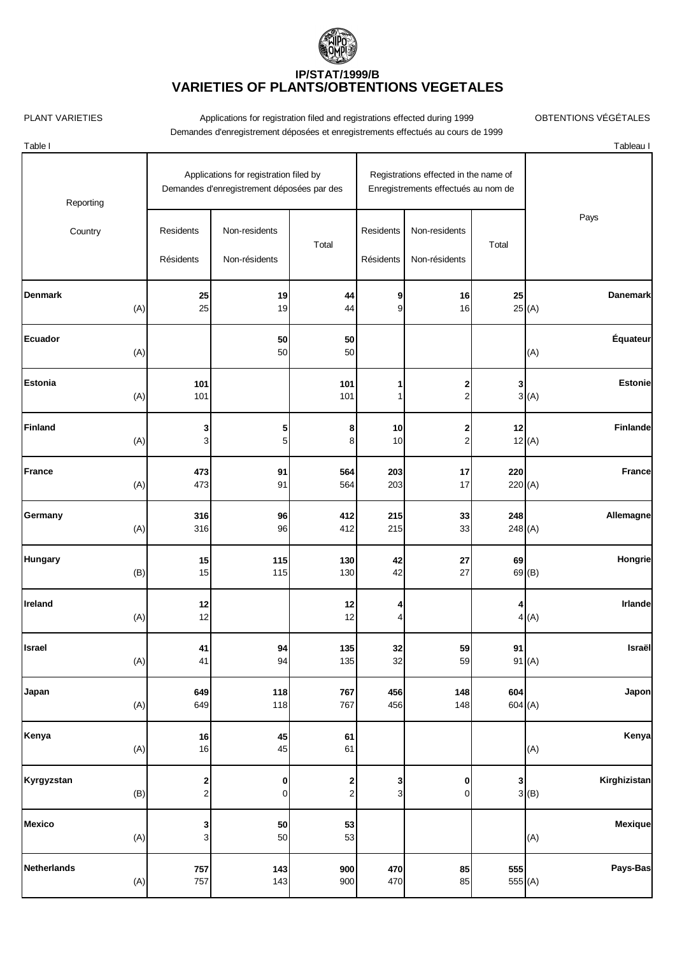

PLANT VARIETIES **Applications for registration filed and registrations effected during 1999** OBTENTIONS VÉGÉTALES Demandes d'enregistrement déposées et enregistrements effectués au cours de 1999

Table I Tableau I

| Reporting             | Applications for registration filed by<br>Registrations effected in the name of<br>Demandes d'enregistrement déposées par des<br>Enregistrements effectués au nom de |                                |            |                        |                                |               |       |               |
|-----------------------|----------------------------------------------------------------------------------------------------------------------------------------------------------------------|--------------------------------|------------|------------------------|--------------------------------|---------------|-------|---------------|
| Country               | Residents<br>Résidents                                                                                                                                               | Non-residents<br>Non-résidents | Total      | Residents<br>Résidents | Non-residents<br>Non-résidents | Total         |       | Pays          |
| <b>Denmark</b><br>(A) | 25<br>25                                                                                                                                                             | 19<br>19                       | 44<br>44   | 9<br>9                 | 16<br>16                       | 25            | 25(A) | Danemark      |
| Ecuador<br>(A)        |                                                                                                                                                                      | ${\bf 50}$<br>50               | 50<br>50   |                        |                                |               | (A)   | Équateur      |
| <b>Estonia</b><br>(A) | 101<br>101                                                                                                                                                           |                                | 101<br>101 | 1<br>1                 | 2<br>$\overline{2}$            | 3             | 3(A)  | Estonie       |
| <b>Finland</b><br>(A) | 3<br>3                                                                                                                                                               | 5<br>5 <sub>5</sub>            | 8<br>8     | 10<br>10               | 2<br>$\overline{c}$            | 12            | 12(A) | Finlande      |
| France<br>(A)         | 473<br>473                                                                                                                                                           | 91<br>91                       | 564<br>564 | 203<br>203             | 17<br>17                       | 220<br>220(A) |       | <b>France</b> |
| Germany<br>(A)        | 316<br>316                                                                                                                                                           | 96<br>96                       | 412<br>412 | 215<br>215             | 33<br>33                       | 248<br>248(A) |       | Allemagne     |
| <b>Hungary</b><br>(B) | 15<br>15                                                                                                                                                             | 115<br>115                     | 130<br>130 | 42<br>42               | 27<br>27                       | 69            | 69(B) | Hongrie       |
| Ireland<br>(A)        | 12<br>12                                                                                                                                                             |                                | 12<br>12   | 4<br>4                 |                                | 4             | 4(A)  | Irlande       |
| Israel<br>(A)         | 41<br>41                                                                                                                                                             | 94<br>94                       | 135<br>135 | 32<br>32               | 59<br>59                       | 91            | 91(A) | Israël        |
| Japan<br>(A)          | 649<br>649                                                                                                                                                           | 118<br>118                     | 767<br>767 | 456<br>456             | 148<br>148                     | 604<br>604(A) |       | Japon         |
| Kenya<br>(A)          | ${\bf 16}$<br>16                                                                                                                                                     | 45<br>45                       | 61<br>61   |                        |                                |               | (A)   | Kenya         |

**Kyrgyzstan 2 0 2 3 0 3 Kirghizistan** (B)  $2$  0 2 3 0 3 0 3 3 (B)

**Mexico 3 50 53 Mexique** (A) 3 50 53 (A) (A)

**Netherlands 757 143 900 470 85 555 Pays-Bas** (A) 757 143 900 470 85 555 (A)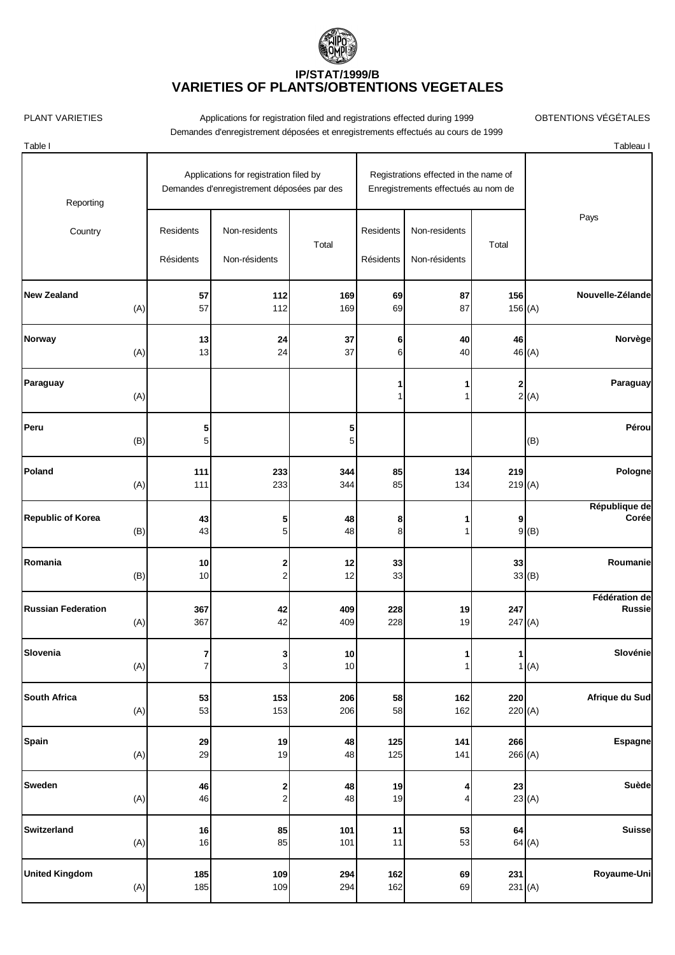

PLANT VARIETIES **Applications for registration filed and registrations effected during 1999** OBTENTIONS VÉGÉTALES Demandes d'enregistrement déposées et enregistrements effectués au cours de 1999

Table I Tableau I

| Reporting                       |                        | Applications for registration filed by<br>Demandes d'enregistrement déposées par des | Registrations effected in the name of<br>Enregistrements effectués au nom de |                        |                                |              |                                |  |
|---------------------------------|------------------------|--------------------------------------------------------------------------------------|------------------------------------------------------------------------------|------------------------|--------------------------------|--------------|--------------------------------|--|
| Country                         | Residents<br>Résidents | Non-residents<br>Non-résidents                                                       | Total                                                                        | Residents<br>Résidents | Non-residents<br>Non-résidents | Total        | Pays                           |  |
| <b>New Zealand</b>              | 57                     | 112                                                                                  | 169                                                                          | 69                     | 87                             | 156          | Nouvelle-Zélande               |  |
| (A)                             | 57                     | 112                                                                                  | 169                                                                          | 69                     | 87                             | 156(A)       |                                |  |
| <b>Norway</b>                   | 13                     | 24                                                                                   | 37                                                                           | 6                      | 40                             | 46           | Norvège                        |  |
| (A)                             | 13                     | 24                                                                                   | 37                                                                           | 6                      | 40                             |              | 46 (A)                         |  |
| Paraguay<br>(A)                 |                        |                                                                                      |                                                                              | 1<br>1                 |                                | $\mathbf{2}$ | Paraguay<br>2(A)               |  |
| Peru<br>(B)                     | 5<br>5                 |                                                                                      | 5<br>5 <sup>1</sup>                                                          |                        |                                |              | Pérou<br>(B)                   |  |
| Poland                          | 111                    | 233                                                                                  | 344                                                                          | 85                     | 134                            | 219          | Pologne                        |  |
| (A)                             | 111                    | 233                                                                                  | 344                                                                          | 85                     | 134                            | 219(A)       |                                |  |
| <b>Republic of Korea</b><br>(B) | 43<br>43               | 5<br>$\mathbf 5$                                                                     | 48<br>48                                                                     | 8<br>8                 |                                | 9            | République de<br>Corée<br>9(8) |  |
| Romania<br>(B)                  | 10<br>10               | 2<br>$\overline{\mathbf{c}}$                                                         | 12<br>12                                                                     | 33<br>33               |                                | 33           | Roumanie<br>33(B)              |  |
| <b>Russian Federation</b>       | 367                    | 42                                                                                   | 409                                                                          | 228                    | 19                             | 247          | Fédération de                  |  |
| (A)                             | 367                    | 42                                                                                   | 409                                                                          | 228                    | 19                             | 247(A)       | <b>Russie</b>                  |  |
| Slovenia<br>$(A)$               | 7<br>7                 | 3<br>$\mathbf{3}$                                                                    | 10<br>10                                                                     |                        | 1<br>1                         | $\mathbf{1}$ | Slovénie<br>1(A)               |  |
| <b>South Africa</b>             | 53                     | 153                                                                                  | 206                                                                          | 58                     | 162                            | 220          | Afrique du Sud                 |  |
| (A)                             | 53                     | 153                                                                                  | 206                                                                          | 58                     | 162                            | 220(A)       |                                |  |
| Spain                           | 29                     | 19                                                                                   | 48                                                                           | 125                    | 141                            | 266          | <b>Espagne</b>                 |  |
| (A)                             | 29                     | 19                                                                                   | 48                                                                           | 125                    | 141                            | 266(A)       |                                |  |
| <b>Sweden</b><br>(A)            | 46<br>46               | $\frac{2}{2}$                                                                        | 48<br>48                                                                     | 19<br>19               | 4<br>4                         | 23           | Suède<br>23(A)                 |  |
| <b>Switzerland</b>              | 16                     | 85                                                                                   | 101                                                                          | 11                     | 53                             | 64           | <b>Suisse</b>                  |  |
| (A)                             | 16                     | 85                                                                                   | 101                                                                          | 11                     | 53                             |              | 64(A)                          |  |
| <b>United Kingdom</b>           | 185                    | 109                                                                                  | 294                                                                          | 162                    | 69                             | 231          | Royaume-Uni                    |  |
| (A)                             | 185                    | 109                                                                                  | 294                                                                          | 162                    | 69                             | 231(A)       |                                |  |